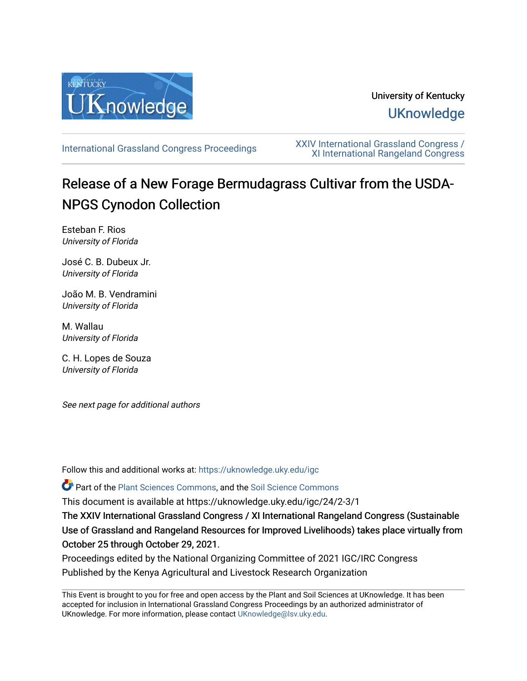

# University of Kentucky **UKnowledge**

[International Grassland Congress Proceedings](https://uknowledge.uky.edu/igc) [XXIV International Grassland Congress /](https://uknowledge.uky.edu/igc/24)  [XI International Rangeland Congress](https://uknowledge.uky.edu/igc/24) 

# Release of a New Forage Bermudagrass Cultivar from the USDA-NPGS Cynodon Collection

Esteban F. Rios University of Florida

José C. B. Dubeux Jr. University of Florida

João M. B. Vendramini University of Florida

M. Wallau University of Florida

C. H. Lopes de Souza University of Florida

See next page for additional authors

Follow this and additional works at: [https://uknowledge.uky.edu/igc](https://uknowledge.uky.edu/igc?utm_source=uknowledge.uky.edu%2Figc%2F24%2F2-3%2F1&utm_medium=PDF&utm_campaign=PDFCoverPages) 

Part of the [Plant Sciences Commons](http://network.bepress.com/hgg/discipline/102?utm_source=uknowledge.uky.edu%2Figc%2F24%2F2-3%2F1&utm_medium=PDF&utm_campaign=PDFCoverPages), and the [Soil Science Commons](http://network.bepress.com/hgg/discipline/163?utm_source=uknowledge.uky.edu%2Figc%2F24%2F2-3%2F1&utm_medium=PDF&utm_campaign=PDFCoverPages) 

This document is available at https://uknowledge.uky.edu/igc/24/2-3/1

The XXIV International Grassland Congress / XI International Rangeland Congress (Sustainable Use of Grassland and Rangeland Resources for Improved Livelihoods) takes place virtually from October 25 through October 29, 2021.

Proceedings edited by the National Organizing Committee of 2021 IGC/IRC Congress Published by the Kenya Agricultural and Livestock Research Organization

This Event is brought to you for free and open access by the Plant and Soil Sciences at UKnowledge. It has been accepted for inclusion in International Grassland Congress Proceedings by an authorized administrator of UKnowledge. For more information, please contact [UKnowledge@lsv.uky.edu](mailto:UKnowledge@lsv.uky.edu).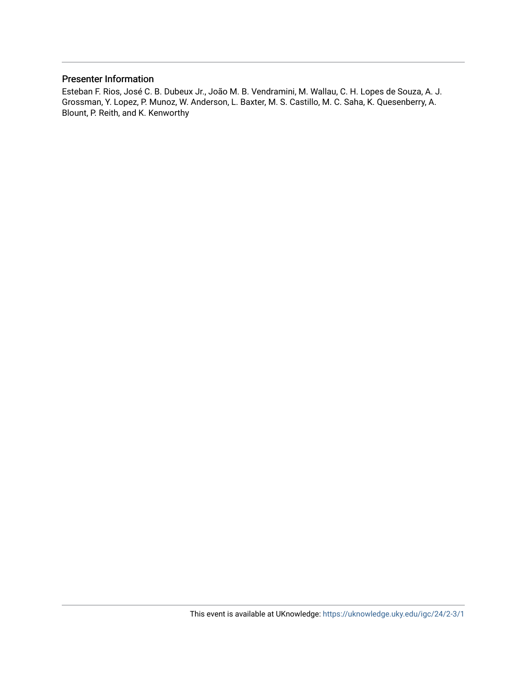#### Presenter Information

Esteban F. Rios, José C. B. Dubeux Jr., João M. B. Vendramini, M. Wallau, C. H. Lopes de Souza, A. J. Grossman, Y. Lopez, P. Munoz, W. Anderson, L. Baxter, M. S. Castillo, M. C. Saha, K. Quesenberry, A. Blount, P. Reith, and K. Kenworthy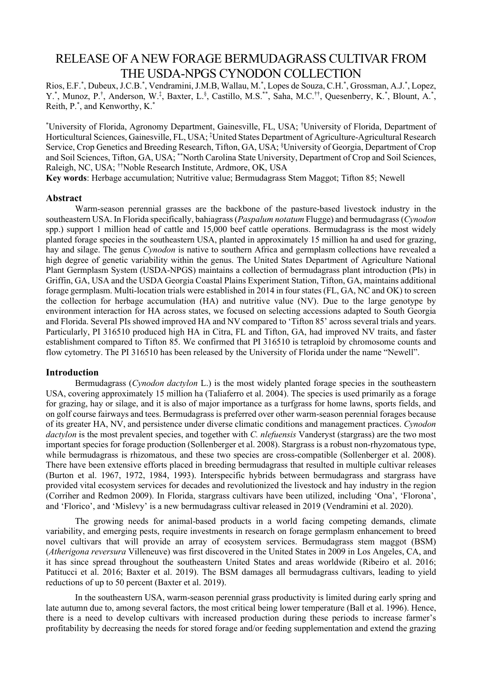# RELEASE OF A NEW FORAGE BERMUDAGRASS CULTIVAR FROM THE USDA-NPGS CYNODON COLLECTION

Rios, E.F.\*, Dubeux, J.C.B.\*, Vendramini, J.M.B, Wallau, M.\*, Lopes de Souza, C.H.\*, Grossman, A.J.\*, Lopez, Y.\*, Munoz, P.†, Anderson, W.‡, Baxter, L.§, Castillo, M.S.\*\*, Saha, M.C.††, Quesenberry, K.\*, Blount, A.\*, Reith, P.\* , and Kenworthy, K.\*

\* University of Florida, Agronomy Department, Gainesville, FL, USA; † University of Florida, Department of Horticultural Sciences, Gainesville, FL, USA; ‡ United States Department of Agriculture-Agricultural Research Service, Crop Genetics and Breeding Research, Tifton, GA, USA; § University of Georgia, Department of Crop and Soil Sciences, Tifton, GA, USA; \*\*North Carolina State University, Department of Crop and Soil Sciences, Raleigh, NC, USA; ††Noble Research Institute, Ardmore, OK, USA

**Key words**: Herbage accumulation; Nutritive value; Bermudagrass Stem Maggot; Tifton 85; Newell

#### **Abstract**

Warm-season perennial grasses are the backbone of the pasture-based livestock industry in the southeastern USA. In Florida specifically, bahiagrass (*Paspalum notatum* Flugge) and bermudagrass (*Cynodon* spp.) support 1 million head of cattle and 15,000 beef cattle operations. Bermudagrass is the most widely planted forage species in the southeastern USA, planted in approximately 15 million ha and used for grazing, hay and silage. The genus *Cynodon* is native to southern Africa and germplasm collections have revealed a high degree of genetic variability within the genus. The United States Department of Agriculture National Plant Germplasm System (USDA-NPGS) maintains a collection of bermudagrass plant introduction (PIs) in Griffin, GA, USA and the USDA Georgia Coastal Plains Experiment Station, Tifton, GA, maintains additional forage germplasm. Multi-location trials were established in 2014 in four states (FL, GA, NC and OK) to screen the collection for herbage accumulation (HA) and nutritive value (NV). Due to the large genotype by environment interaction for HA across states, we focused on selecting accessions adapted to South Georgia and Florida. Several PIs showed improved HA and NV compared to 'Tifton 85' across several trials and years. Particularly, PI 316510 produced high HA in Citra, FL and Tifton, GA, had improved NV traits, and faster establishment compared to Tifton 85. We confirmed that PI 316510 is tetraploid by chromosome counts and flow cytometry. The PI 316510 has been released by the University of Florida under the name "Newell".

#### **Introduction**

Bermudagrass (*Cynodon dactylon* L.) is the most widely planted forage species in the southeastern USA, covering approximately 15 million ha (Taliaferro et al. 2004). The species is used primarily as a forage for grazing, hay or silage, and it is also of major importance as a turfgrass for home lawns, sports fields, and on golf course fairways and tees. Bermudagrass is preferred over other warm-season perennial forages because of its greater HA, NV, and persistence under diverse climatic conditions and management practices. *Cynodon dactylon* is the most prevalent species, and together with *C. nlefuensis* Vanderyst (stargrass) are the two most important species for forage production (Sollenberger et al. 2008). Stargrass is a robust non-rhyzomatous type, while bermudagrass is rhizomatous, and these two species are cross-compatible (Sollenberger et al. 2008). There have been extensive efforts placed in breeding bermudagrass that resulted in multiple cultivar releases (Burton et al. 1967, 1972, 1984, 1993). Interspecific hybrids between bermudagrass and stargrass have provided vital ecosystem services for decades and revolutionized the livestock and hay industry in the region (Corriher and Redmon 2009). In Florida, stargrass cultivars have been utilized, including 'Ona', 'Florona', and 'Florico', and 'Mislevy' is a new bermudagrass cultivar released in 2019 (Vendramini et al. 2020).

The growing needs for animal-based products in a world facing competing demands, climate variability, and emerging pests, require investments in research on forage germplasm enhancement to breed novel cultivars that will provide an array of ecosystem services. Bermudagrass stem maggot (BSM) (*Atherigona reversura* Villeneuve) was first discovered in the United States in 2009 in Los Angeles, CA, and it has since spread throughout the southeastern United States and areas worldwide (Ribeiro et al. 2016; Patitucci et al. 2016; Baxter et al. 2019). The BSM damages all bermudagrass cultivars, leading to yield reductions of up to 50 percent (Baxter et al. 2019).

In the southeastern USA, warm-season perennial grass productivity is limited during early spring and late autumn due to, among several factors, the most critical being lower temperature (Ball et al. 1996). Hence, there is a need to develop cultivars with increased production during these periods to increase farmer's profitability by decreasing the needs for stored forage and/or feeding supplementation and extend the grazing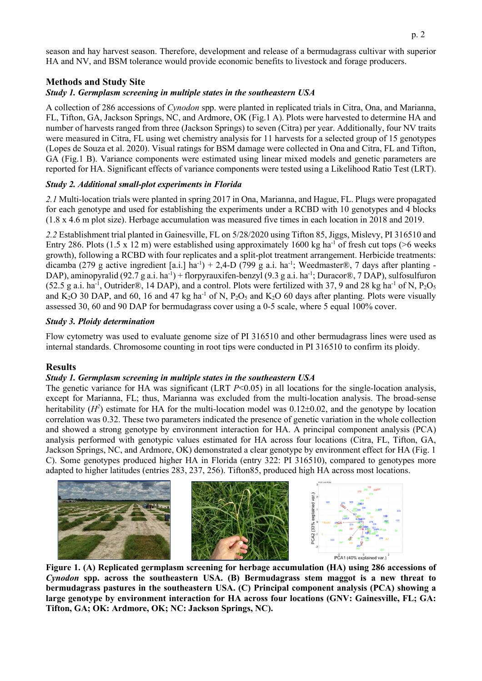season and hay harvest season. Therefore, development and release of a bermudagrass cultivar with superior HA and NV, and BSM tolerance would provide economic benefits to livestock and forage producers.

## **Methods and Study Site**

## *Study 1. Germplasm screening in multiple states in the southeastern USA*

A collection of 286 accessions of *Cynodon* spp. were planted in replicated trials in Citra, Ona, and Marianna, FL, Tifton, GA, Jackson Springs, NC, and Ardmore, OK (Fig.1 A). Plots were harvested to determine HA and number of harvests ranged from three (Jackson Springs) to seven (Citra) per year. Additionally, four NV traits were measured in Citra, FL using wet chemistry analysis for 11 harvests for a selected group of 15 genotypes (Lopes de Souza et al. 2020). Visual ratings for BSM damage were collected in Ona and Citra, FL and Tifton, GA (Fig.1 B). Variance components were estimated using linear mixed models and genetic parameters are reported for HA. Significant effects of variance components were tested using a Likelihood Ratio Test (LRT).

#### *Study 2. Additional small-plot experiments in Florida*

*2.1* Multi-location trials were planted in spring 2017 in Ona, Marianna, and Hague, FL. Plugs were propagated for each genotype and used for establishing the experiments under a RCBD with 10 genotypes and 4 blocks (1.8 x 4.6 m plot size). Herbage accumulation was measured five times in each location in 2018 and 2019.

*2.2* Establishment trial planted in Gainesville, FL on 5/28/2020 using Tifton 85, Jiggs, Mislevy, PI 316510 and Entry 286. Plots (1.5 x 12 m) were established using approximately 1600 kg ha<sup>-1</sup> of fresh cut tops (>6 weeks growth), following a RCBD with four replicates and a split-plot treatment arrangement. Herbicide treatments: dicamba (279 g active ingredient [a.i.] ha<sup>-1</sup>) + 2,4-D (799 g a.i. ha<sup>-1</sup>; Weedmaster®, 7 days after planting -DAP), aminopyralid (92.7 g a.i. ha<sup>-1</sup>) + florpyrauxifen-benzyl (9.3 g a.i. ha<sup>-1</sup>; Duracor®, 7 DAP), sulfosulfuron (52.5 g a.i. ha<sup>-1</sup>, Outrider®, 14 DAP), and a control. Plots were fertilized with 37, 9 and 28 kg ha<sup>-1</sup> of N, P<sub>2</sub>O<sub>5</sub> and K<sub>2</sub>O 30 DAP, and 60, 16 and 47 kg ha<sup>-1</sup> of N, P<sub>2</sub>O<sub>5</sub> and K<sub>2</sub>O 60 days after planting. Plots were visually assessed 30, 60 and 90 DAP for bermudagrass cover using a 0-5 scale, where 5 equal 100% cover.

#### *Study 3. Ploidy determination*

Flow cytometry was used to evaluate genome size of PI 316510 and other bermudagrass lines were used as internal standards. Chromosome counting in root tips were conducted in PI 316510 to confirm its ploidy.

## **Results**

#### *Study 1. Germplasm screening in multiple states in the southeastern USA*

The genetic variance for HA was significant (LRT *P*<0.05) in all locations for the single-location analysis, except for Marianna, FL; thus, Marianna was excluded from the multi-location analysis. The broad-sense heritability  $(H^2)$  estimate for HA for the multi-location model was  $0.12\pm0.02$ , and the genotype by location correlation was 0.32. These two parameters indicated the presence of genetic variation in the whole collection and showed a strong genotype by environment interaction for HA. A principal component analysis (PCA) analysis performed with genotypic values estimated for HA across four locations (Citra, FL, Tifton, GA, Jackson Springs, NC, and Ardmore, OK) demonstrated a clear genotype by environment effect for HA (Fig. 1 C). Some genotypes produced higher HA in Florida (entry 322: PI 316510), compared to genotypes more adapted to higher latitudes (entries 283, 237, 256). Tifton85, produced high HA across most locations.



**Figure 1. (A) Replicated germplasm screening for herbage accumulation (HA) using 286 accessions of**  *Cynodon* **spp. across the southeastern USA. (B) Bermudagrass stem maggot is a new threat to bermudagrass pastures in the southeastern USA. (C) Principal component analysis (PCA) showing a large genotype by environment interaction for HA across four locations (GNV: Gainesville, FL; GA: Tifton, GA; OK: Ardmore, OK; NC: Jackson Springs, NC).**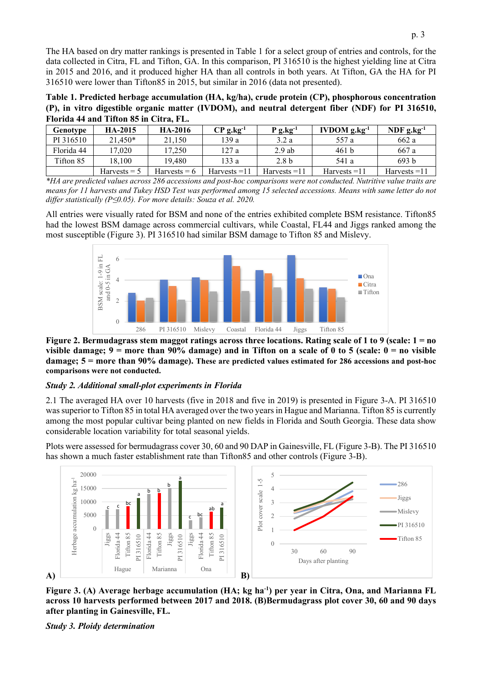The HA based on dry matter rankings is presented in Table 1 for a select group of entries and controls, for the data collected in Citra, FL and Tifton, GA. In this comparison, PI 316510 is the highest yielding line at Citra in 2015 and 2016, and it produced higher HA than all controls in both years. At Tifton, GA the HA for PI 316510 were lower than Tifton85 in 2015, but similar in 2016 (data not presented).

**Table 1. Predicted herbage accumulation (HA, kg/ha), crude protein (CP), phosphorous concentration (P), in vitro digestible organic matter (IVDOM), and neutral detergent fiber (NDF) for PI 316510, Florida 44 and Tifton 85 in Citra, FL.**

| Genotype   | <b>HA-2015</b> | <b>HA-2016</b> | $CP$ g.kg <sup>-1</sup> | $P$ g.kg <sup>-1</sup> | <b>IVDOM</b> $g \cdot kg^{-1}$ | NDF $g$ , $kg^{-1}$ |
|------------|----------------|----------------|-------------------------|------------------------|--------------------------------|---------------------|
| PI 316510  | $21.450*$      | 21.150         | 139 a                   | 3.2 a                  | 557 a                          | 662 a               |
| Florida 44 | 17.020         | 17.250         | 127 a                   | $2.9$ ab               | 461 <sub>b</sub>               | 667 a               |
| Tifton 85  | 18.100         | 19.480         | 133 a                   | 2.8 <sub>b</sub>       | 541 a                          | 693 b               |
|            | Harvests $=$ 5 | $Harvests = 6$ | $Harvests = 11$         | Harvests $=11$         | $Harvests = 11$                | Harvests $=11$      |

*\*HA are predicted values across 286 accessions and post-hoc comparisons were not conducted. Nutritive value traits are means for 11 harvests and Tukey HSD Test was performed among 15 selected accessions. Means with same letter do not differ statistically (P≤0.05). For more details: Souza et al. 2020.*

All entries were visually rated for BSM and none of the entries exhibited complete BSM resistance. Tifton85 had the lowest BSM damage across commercial cultivars, while Coastal, FL44 and Jiggs ranked among the most susceptible (Figure 3). PI 316510 had similar BSM damage to Tifton 85 and Mislevy.



**Figure 2. Bermudagrass stem maggot ratings across three locations. Rating scale of 1 to 9 (scale: 1 = no visible damage; 9 = more than 90% damage) and in Tifton on a scale of 0 to 5 (scale: 0 = no visible damage; 5 = more than 90% damage). These are predicted values estimated for 286 accessions and post-hoc comparisons were not conducted.**

#### *Study 2. Additional small-plot experiments in Florida*

2.1 The averaged HA over 10 harvests (five in 2018 and five in 2019) is presented in Figure 3-A. PI 316510 was superior to Tifton 85 in total HA averaged over the two years in Hague and Marianna. Tifton 85 is currently among the most popular cultivar being planted on new fields in Florida and South Georgia. These data show considerable location variability for total seasonal yields.

Plots were assessed for bermudagrass cover 30, 60 and 90 DAP in Gainesville, FL (Figure 3-B). The PI 316510 has shown a much faster establishment rate than Tifton85 and other controls (Figure 3-B).



**Figure 3. (A) Average herbage accumulation (HA; kg ha-1 ) per year in Citra, Ona, and Marianna FL across 10 harvests performed between 2017 and 2018. (B)Bermudagrass plot cover 30, 60 and 90 days after planting in Gainesville, FL.**

*Study 3. Ploidy determination*